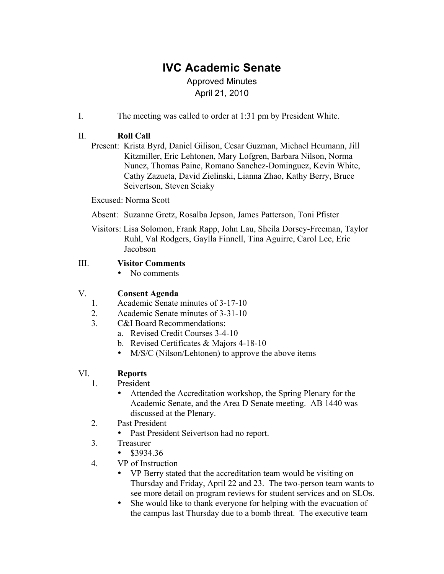# **IVC Academic Senate**

# Approved Minutes April 21, 2010

I. The meeting was called to order at 1:31 pm by President White.

### II. **Roll Call**

Present: Krista Byrd, Daniel Gilison, Cesar Guzman, Michael Heumann, Jill Kitzmiller, Eric Lehtonen, Mary Lofgren, Barbara Nilson, Norma Nunez, Thomas Paine, Romano Sanchez-Dominguez, Kevin White, Cathy Zazueta, David Zielinski, Lianna Zhao, Kathy Berry, Bruce Seivertson, Steven Sciaky

Excused: Norma Scott

- Absent: Suzanne Gretz, Rosalba Jepson, James Patterson, Toni Pfister
- Visitors: Lisa Solomon, Frank Rapp, John Lau, Sheila Dorsey-Freeman, Taylor Ruhl, Val Rodgers, Gaylla Finnell, Tina Aguirre, Carol Lee, Eric Jacobson

#### III. **Visitor Comments**

• No comments

### V. **Consent Agenda**

- 1. Academic Senate minutes of 3-17-10
- 2. Academic Senate minutes of 3-31-10
- 3. C&I Board Recommendations:
	- a. Revised Credit Courses 3-4-10
	- b. Revised Certificates & Majors 4-18-10
	- M/S/C (Nilson/Lehtonen) to approve the above items

### VI. **Reports**

- 1. President
	- Attended the Accreditation workshop, the Spring Plenary for the Academic Senate, and the Area D Senate meeting. AB 1440 was discussed at the Plenary.
- 2. Past President
	- Past President Seivertson had no report.
- 3. Treasurer
	- $•$  \$3934.36
- 4. VP of Instruction
	- VP Berry stated that the accreditation team would be visiting on Thursday and Friday, April 22 and 23. The two-person team wants to see more detail on program reviews for student services and on SLOs.
	- She would like to thank everyone for helping with the evacuation of the campus last Thursday due to a bomb threat. The executive team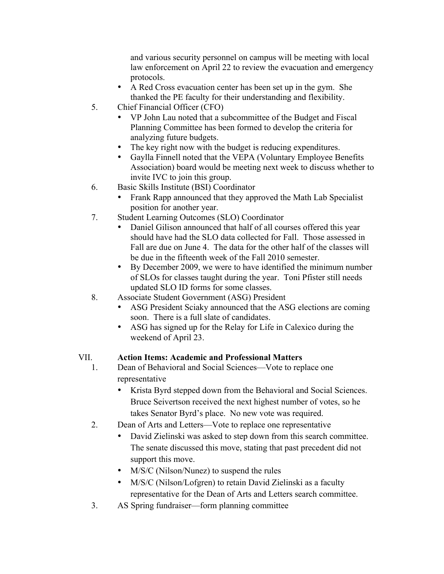and various security personnel on campus will be meeting with local law enforcement on April 22 to review the evacuation and emergency protocols.

- A Red Cross evacuation center has been set up in the gym. She thanked the PE faculty for their understanding and flexibility.
- 5. Chief Financial Officer (CFO)
	- VP John Lau noted that a subcommittee of the Budget and Fiscal Planning Committee has been formed to develop the criteria for analyzing future budgets.
	- The key right now with the budget is reducing expenditures.
	- Gaylla Finnell noted that the VEPA (Voluntary Employee Benefits Association) board would be meeting next week to discuss whether to invite IVC to join this group.
- 6. Basic Skills Institute (BSI) Coordinator
	- Frank Rapp announced that they approved the Math Lab Specialist position for another year.
- 7. Student Learning Outcomes (SLO) Coordinator
	- Daniel Gilison announced that half of all courses offered this year should have had the SLO data collected for Fall. Those assessed in Fall are due on June 4. The data for the other half of the classes will be due in the fifteenth week of the Fall 2010 semester.
	- By December 2009, we were to have identified the minimum number of SLOs for classes taught during the year. Toni Pfister still needs updated SLO ID forms for some classes.
- 8. Associate Student Government (ASG) President
	- ASG President Sciaky announced that the ASG elections are coming soon. There is a full slate of candidates.
	- ASG has signed up for the Relay for Life in Calexico during the weekend of April 23.

#### VII. **Action Items: Academic and Professional Matters**

- 1. Dean of Behavioral and Social Sciences—Vote to replace one representative
	- Krista Byrd stepped down from the Behavioral and Social Sciences. Bruce Seivertson received the next highest number of votes, so he takes Senator Byrd's place. No new vote was required.
- 2. Dean of Arts and Letters—Vote to replace one representative
	- David Zielinski was asked to step down from this search committee. The senate discussed this move, stating that past precedent did not support this move.
	- M/S/C (Nilson/Nunez) to suspend the rules
	- M/S/C (Nilson/Lofgren) to retain David Zielinski as a faculty representative for the Dean of Arts and Letters search committee.
- 3. AS Spring fundraiser—form planning committee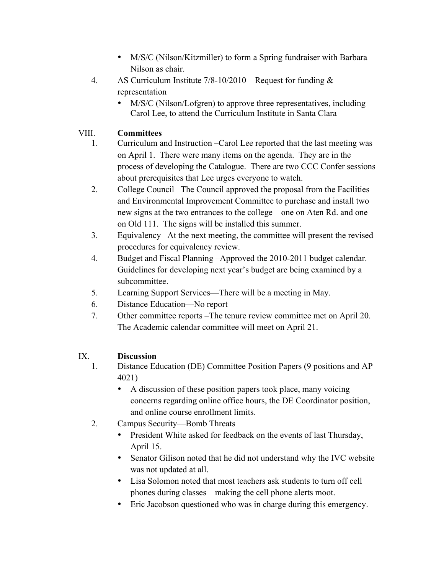- M/S/C (Nilson/Kitzmiller) to form a Spring fundraiser with Barbara Nilson as chair.
- 4. AS Curriculum Institute 7/8-10/2010—Request for funding & representation
	- M/S/C (Nilson/Lofgren) to approve three representatives, including Carol Lee, to attend the Curriculum Institute in Santa Clara

# VIII. **Committees**

- 1. Curriculum and Instruction –Carol Lee reported that the last meeting was on April 1. There were many items on the agenda. They are in the process of developing the Catalogue. There are two CCC Confer sessions about prerequisites that Lee urges everyone to watch.
- 2. College Council –The Council approved the proposal from the Facilities and Environmental Improvement Committee to purchase and install two new signs at the two entrances to the college—one on Aten Rd. and one on Old 111. The signs will be installed this summer.
- 3. Equivalency –At the next meeting, the committee will present the revised procedures for equivalency review.
- 4. Budget and Fiscal Planning –Approved the 2010-2011 budget calendar. Guidelines for developing next year's budget are being examined by a subcommittee.
- 5. Learning Support Services—There will be a meeting in May.
- 6. Distance Education—No report
- 7. Other committee reports –The tenure review committee met on April 20. The Academic calendar committee will meet on April 21.

### IX. **Discussion**

- 1. Distance Education (DE) Committee Position Papers (9 positions and AP 4021)
	- A discussion of these position papers took place, many voicing concerns regarding online office hours, the DE Coordinator position, and online course enrollment limits.
- 2. Campus Security—Bomb Threats
	- President White asked for feedback on the events of last Thursday, April 15.
	- Senator Gilison noted that he did not understand why the IVC website was not updated at all.
	- Lisa Solomon noted that most teachers ask students to turn off cell phones during classes—making the cell phone alerts moot.
	- Eric Jacobson questioned who was in charge during this emergency.